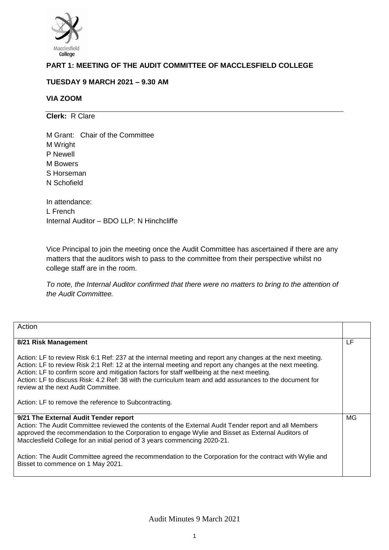

# **PART 1: MEETING OF THE AUDIT COMMITTEE OF MACCLESFIELD COLLEGE**

## **TUESDAY 9 MARCH 2021 – 9.30 AM**

## **VIA ZOOM**

**Clerk:** R Clare

M Grant: Chair of the Committee M Wright P Newell M Bowers S Horseman N Schofield

In attendance: L French Internal Auditor – BDO LLP: N Hinchcliffe

Vice Principal to join the meeting once the Audit Committee has ascertained if there are any matters that the auditors wish to pass to the committee from their perspective whilst no college staff are in the room.

*To note, the Internal Auditor confirmed that there were no matters to bring to the attention of the Audit Committee.* 

| Action                                                                                                                                                                                                                                                                                                                                                                                                                                                                                                                            |    |
|-----------------------------------------------------------------------------------------------------------------------------------------------------------------------------------------------------------------------------------------------------------------------------------------------------------------------------------------------------------------------------------------------------------------------------------------------------------------------------------------------------------------------------------|----|
| 8/21 Risk Management                                                                                                                                                                                                                                                                                                                                                                                                                                                                                                              | LF |
| Action: LF to review Risk 6:1 Ref: 237 at the internal meeting and report any changes at the next meeting.<br>Action: LF to review Risk 2:1 Ref: 12 at the internal meeting and report any changes at the next meeting.<br>Action: LF to confirm score and mitigation factors for staff wellbeing at the next meeting.<br>Action: LF to discuss Risk: 4.2 Ref: 38 with the curriculum team and add assurances to the document for<br>review at the next Audit Committee.<br>Action: LF to remove the reference to Subcontracting. |    |
| 9/21 The External Audit Tender report<br>Action: The Audit Committee reviewed the contents of the External Audit Tender report and all Members<br>approved the recommendation to the Corporation to engage Wylie and Bisset as External Auditors of<br>Macclesfield College for an initial period of 3 years commencing 2020-21.<br>Action: The Audit Committee agreed the recommendation to the Corporation for the contract with Wylie and<br>Bisset to commence on 1 May 2021.                                                 | MG |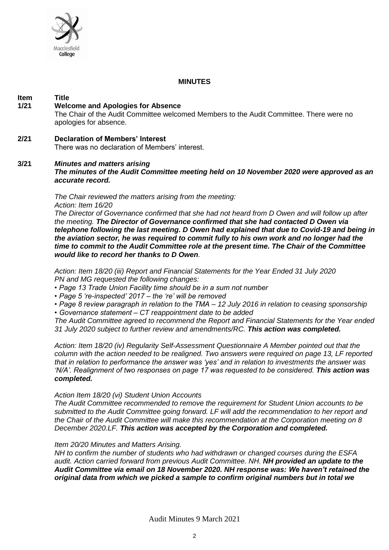

## **MINUTES**

#### **Item Title**<br>1/21 **Welc 1/21 Welcome and Apologies for Absence**

The Chair of the Audit Committee welcomed Members to the Audit Committee. There were no apologies for absence.

## **2/21 Declaration of Members' Interest**

There was no declaration of Members' interest.

## **3/21** *Minutes and matters arising*

*The minutes of the Audit Committee meeting held on 10 November 2020 were approved as an accurate record.* 

*The Chair reviewed the matters arising from the meeting: Action: Item 16/20* 

*The Director of Governance confirmed that she had not heard from D Owen and will follow up after the meeting. The Director of Governance confirmed that she had contacted D Owen via telephone following the last meeting. D Owen had explained that due to Covid-19 and being in the aviation sector, he was required to commit fully to his own work and no longer had the time to commit to the Audit Committee role at the present time. The Chair of the Committee would like to record her thanks to D Owen.*

*Action: Item 18/20 (iii) Report and Financial Statements for the Year Ended 31 July 2020 PN and MG requested the following changes:* 

- *Page 13 Trade Union Facility time should be in a sum not number*
- *Page 5 're-inspected' 2017 – the 're' will be removed*
- *Page 8 review paragraph in relation to the TMA – 12 July 2016 in relation to ceasing sponsorship*
- *Governance statement – CT reappointment date to be added*

*The Audit Committee agreed to recommend the Report and Financial Statements for the Year ended 31 July 2020 subject to further review and amendments/RC. This action was completed.* 

*Action: Item 18/20 (iv) Regularity Self-Assessment Questionnaire A Member pointed out that the column with the action needed to be realigned. Two answers were required on page 13, LF reported that in relation to performance the answer was 'yes' and in relation to investments the answer was 'N/A'. Realignment of two responses on page 17 was requested to be considered. This action was completed.* 

#### *Action Item 18/20 (vi) Student Union Accounts*

*The Audit Committee recommended to remove the requirement for Student Union accounts to be submitted to the Audit Committee going forward. LF will add the recommendation to her report and the Chair of the Audit Committee will make this recommendation at the Corporation meeting on 8 December 2020.LF. This action was accepted by the Corporation and completed.* 

#### *Item 20/20 Minutes and Matters Arising.*

*NH to confirm the number of students who had withdrawn or changed courses during the ESFA audit. Action carried forward from previous Audit Committee. NH. NH provided an update to the Audit Committee via email on 18 November 2020. NH response was: We haven't retained the original data from which we picked a sample to confirm original numbers but in total we*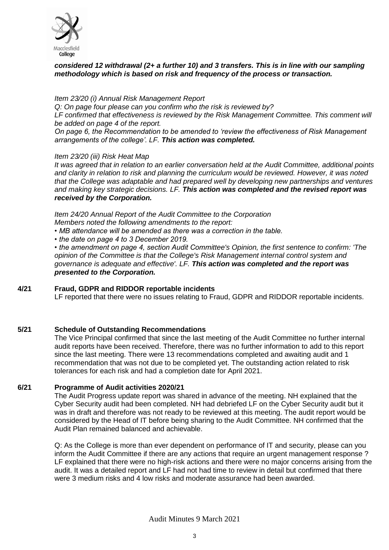

## *considered 12 withdrawal (2+ a further 10) and 3 transfers. This is in line with our sampling methodology which is based on risk and frequency of the process or transaction.*

### *Item 23/20 (i) Annual Risk Management Report*

*Q: On page four please can you confirm who the risk is reviewed by?* 

*LF confirmed that effectiveness is reviewed by the Risk Management Committee. This comment will be added on page 4 of the report.*

*On page 6, the Recommendation to be amended to 'review the effectiveness of Risk Management arrangements of the college'. LF. This action was completed.* 

*Item 23/20 (iii) Risk Heat Map*

*It was agreed that in relation to an earlier conversation held at the Audit Committee, additional points and clarity in relation to risk and planning the curriculum would be reviewed. However, it was noted that the College was adaptable and had prepared well by developing new partnerships and ventures and making key strategic decisions. LF. This action was completed and the revised report was received by the Corporation.* 

*Item 24/20 Annual Report of the Audit Committee to the Corporation Members noted the following amendments to the report:* 

- *MB attendance will be amended as there was a correction in the table.*
- *the date on page 4 to 3 December 2019.*

*• the amendment on page 4, section Audit Committee's Opinion, the first sentence to confirm: 'The opinion of the Committee is that the College's Risk Management internal control system and governance is adequate and effective'. LF. This action was completed and the report was presented to the Corporation.* 

## **4/21 Fraud, GDPR and RIDDOR reportable incidents**

LF reported that there were no issues relating to Fraud, GDPR and RIDDOR reportable incidents.

## **5/21 Schedule of Outstanding Recommendations**

The Vice Principal confirmed that since the last meeting of the Audit Committee no further internal audit reports have been received. Therefore, there was no further information to add to this report since the last meeting. There were 13 recommendations completed and awaiting audit and 1 recommendation that was not due to be completed yet. The outstanding action related to risk tolerances for each risk and had a completion date for April 2021.

#### **6/21 Programme of Audit activities 2020/21**

The Audit Progress update report was shared in advance of the meeting. NH explained that the Cyber Security audit had been completed. NH had debriefed LF on the Cyber Security audit but it was in draft and therefore was not ready to be reviewed at this meeting. The audit report would be considered by the Head of IT before being sharing to the Audit Committee. NH confirmed that the Audit Plan remained balanced and achievable.

Q: As the College is more than ever dependent on performance of IT and security, please can you inform the Audit Committee if there are any actions that require an urgent management response ? LF explained that there were no high-risk actions and there were no major concerns arising from the audit. It was a detailed report and LF had not had time to review in detail but confirmed that there were 3 medium risks and 4 low risks and moderate assurance had been awarded.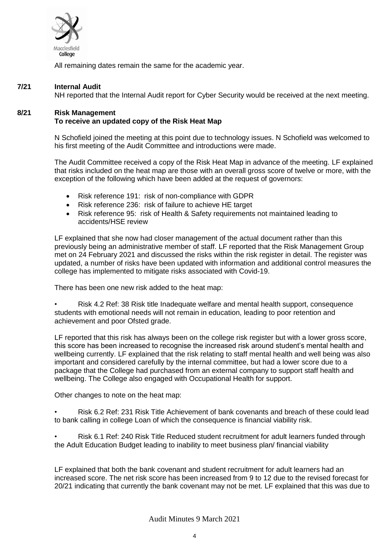

All remaining dates remain the same for the academic year.

## **7/21 Internal Audit**

NH reported that the Internal Audit report for Cyber Security would be received at the next meeting.

## **8/21 Risk Management To receive an updated copy of the Risk Heat Map**

N Schofield joined the meeting at this point due to technology issues. N Schofield was welcomed to his first meeting of the Audit Committee and introductions were made.

The Audit Committee received a copy of the Risk Heat Map in advance of the meeting. LF explained that risks included on the heat map are those with an overall gross score of twelve or more, with the exception of the following which have been added at the request of governors:

- Risk reference 191: risk of non-compliance with GDPR
- Risk reference 236: risk of failure to achieve HE target
- Risk reference 95: risk of Health & Safety requirements not maintained leading to accidents/HSE review

LF explained that she now had closer management of the actual document rather than this previously being an administrative member of staff. LF reported that the Risk Management Group met on 24 February 2021 and discussed the risks within the risk register in detail. The register was updated, a number of risks have been updated with information and additional control measures the college has implemented to mitigate risks associated with Covid-19.

There has been one new risk added to the heat map:

• Risk 4.2 Ref: 38 Risk title Inadequate welfare and mental health support, consequence students with emotional needs will not remain in education, leading to poor retention and achievement and poor Ofsted grade.

LF reported that this risk has always been on the college risk register but with a lower gross score, this score has been increased to recognise the increased risk around student's mental health and wellbeing currently. LF explained that the risk relating to staff mental health and well being was also important and considered carefully by the internal committee, but had a lower score due to a package that the College had purchased from an external company to support staff health and wellbeing. The College also engaged with Occupational Health for support.

Other changes to note on the heat map:

• Risk 6.2 Ref: 231 Risk Title Achievement of bank covenants and breach of these could lead to bank calling in college Loan of which the consequence is financial viability risk.

• Risk 6.1 Ref: 240 Risk Title Reduced student recruitment for adult learners funded through the Adult Education Budget leading to inability to meet business plan/ financial viability

LF explained that both the bank covenant and student recruitment for adult learners had an increased score. The net risk score has been increased from 9 to 12 due to the revised forecast for 20/21 indicating that currently the bank covenant may not be met. LF explained that this was due to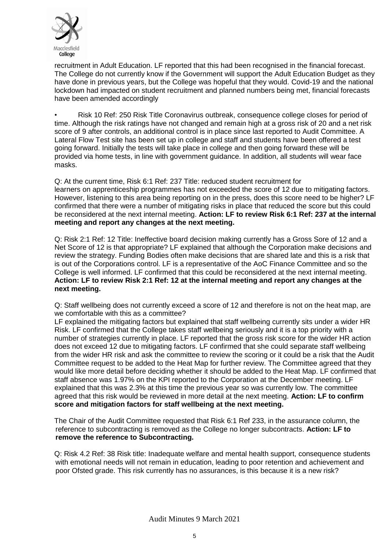

recruitment in Adult Education. LF reported that this had been recognised in the financial forecast. The College do not currently know if the Government will support the Adult Education Budget as they have done in previous years, but the College was hopeful that they would. Covid-19 and the national lockdown had impacted on student recruitment and planned numbers being met, financial forecasts have been amended accordingly

• Risk 10 Ref: 250 Risk Title Coronavirus outbreak, consequence college closes for period of time. Although the risk ratings have not changed and remain high at a gross risk of 20 and a net risk score of 9 after controls, an additional control is in place since last reported to Audit Committee. A Lateral Flow Test site has been set up in college and staff and students have been offered a test going forward. Initially the tests will take place in college and then going forward these will be provided via home tests, in line with government guidance. In addition, all students will wear face masks.

Q: At the current time, Risk 6:1 Ref: 237 Title: reduced student recruitment for learners on apprenticeship programmes has not exceeded the score of 12 due to mitigating factors. However, listening to this area being reporting on in the press, does this score need to be higher? LF confirmed that there were a number of mitigating risks in place that reduced the score but this could be reconsidered at the next internal meeting. **Action: LF to review Risk 6:1 Ref: 237 at the internal meeting and report any changes at the next meeting.** 

Q: Risk 2:1 Ref: 12 Title: Ineffective board decision making currently has a Gross Sore of 12 and a Net Score of 12 is that appropriate? LF explained that although the Corporation make decisions and review the strategy. Funding Bodies often make decisions that are shared late and this is a risk that is out of the Corporations control. LF is a representative of the AoC Finance Committee and so the College is well informed. LF confirmed that this could be reconsidered at the next internal meeting. **Action: LF to review Risk 2:1 Ref: 12 at the internal meeting and report any changes at the next meeting.** 

Q: Staff wellbeing does not currently exceed a score of 12 and therefore is not on the heat map, are we comfortable with this as a committee?

LF explained the mitigating factors but explained that staff wellbeing currently sits under a wider HR Risk. LF confirmed that the College takes staff wellbeing seriously and it is a top priority with a number of strategies currently in place. LF reported that the gross risk score for the wider HR action does not exceed 12 due to mitigating factors. LF confirmed that she could separate staff wellbeing from the wider HR risk and ask the committee to review the scoring or it could be a risk that the Audit Committee request to be added to the Heat Map for further review. The Committee agreed that they would like more detail before deciding whether it should be added to the Heat Map. LF confirmed that staff absence was 1.97% on the KPI reported to the Corporation at the December meeting. LF explained that this was 2.3% at this time the previous year so was currently low. The committee agreed that this risk would be reviewed in more detail at the next meeting. **Action: LF to confirm score and mitigation factors for staff wellbeing at the next meeting.** 

The Chair of the Audit Committee requested that Risk 6:1 Ref 233, in the assurance column, the reference to subcontracting is removed as the College no longer subcontracts. **Action: LF to remove the reference to Subcontracting.** 

Q: Risk 4.2 Ref: 38 Risk title: Inadequate welfare and mental health support, consequence students with emotional needs will not remain in education, leading to poor retention and achievement and poor Ofsted grade. This risk currently has no assurances, is this because it is a new risk?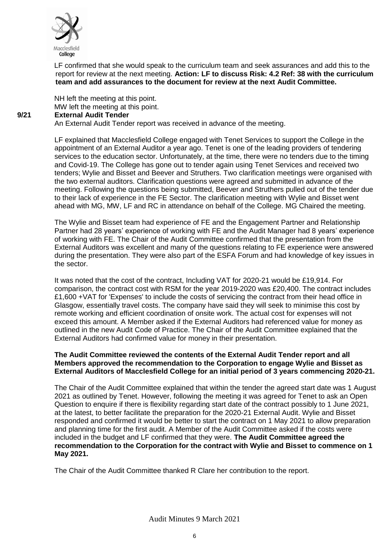

LF confirmed that she would speak to the curriculum team and seek assurances and add this to the report for review at the next meeting. **Action: LF to discuss Risk: 4.2 Ref: 38 with the curriculum team and add assurances to the document for review at the next Audit Committee.** 

NH left the meeting at this point. MW left the meeting at this point.

## **9/21 External Audit Tender**

An External Audit Tender report was received in advance of the meeting.

LF explained that Macclesfield College engaged with Tenet Services to support the College in the appointment of an External Auditor a year ago. Tenet is one of the leading providers of tendering services to the education sector. Unfortunately, at the time, there were no tenders due to the timing and Covid-19. The College has gone out to tender again using Tenet Services and received two tenders; Wylie and Bisset and Beever and Struthers. Two clarification meetings were organised with the two external auditors. Clarification questions were agreed and submitted in advance of the meeting. Following the questions being submitted, Beever and Struthers pulled out of the tender due to their lack of experience in the FE Sector. The clarification meeting with Wylie and Bisset went ahead with MG, MW, LF and RC in attendance on behalf of the College. MG Chaired the meeting.

The Wylie and Bisset team had experience of FE and the Engagement Partner and Relationship Partner had 28 years' experience of working with FE and the Audit Manager had 8 years' experience of working with FE. The Chair of the Audit Committee confirmed that the presentation from the External Auditors was excellent and many of the questions relating to FE experience were answered during the presentation. They were also part of the ESFA Forum and had knowledge of key issues in the sector.

It was noted that the cost of the contract, Including VAT for 2020-21 would be £19,914. For comparison, the contract cost with RSM for the year 2019-2020 was £20,400. The contract includes £1,600 +VAT for 'Expenses' to include the costs of servicing the contract from their head office in Glasgow, essentially travel costs. The company have said they will seek to minimise this cost by remote working and efficient coordination of onsite work. The actual cost for expenses will not exceed this amount. A Member asked if the External Auditors had referenced value for money as outlined in the new Audit Code of Practice. The Chair of the Audit Committee explained that the External Auditors had confirmed value for money in their presentation.

## **The Audit Committee reviewed the contents of the External Audit Tender report and all Members approved the recommendation to the Corporation to engage Wylie and Bisset as External Auditors of Macclesfield College for an initial period of 3 years commencing 2020-21.**

The Chair of the Audit Committee explained that within the tender the agreed start date was 1 August 2021 as outlined by Tenet. However, following the meeting it was agreed for Tenet to ask an Open Question to enquire if there is flexibility regarding start date of the contract possibly to 1 June 2021, at the latest, to better facilitate the preparation for the 2020-21 External Audit. Wylie and Bisset responded and confirmed it would be better to start the contract on 1 May 2021 to allow preparation and planning time for the first audit. A Member of the Audit Committee asked if the costs were included in the budget and LF confirmed that they were. **The Audit Committee agreed the recommendation to the Corporation for the contract with Wylie and Bisset to commence on 1 May 2021.**

The Chair of the Audit Committee thanked R Clare her contribution to the report.